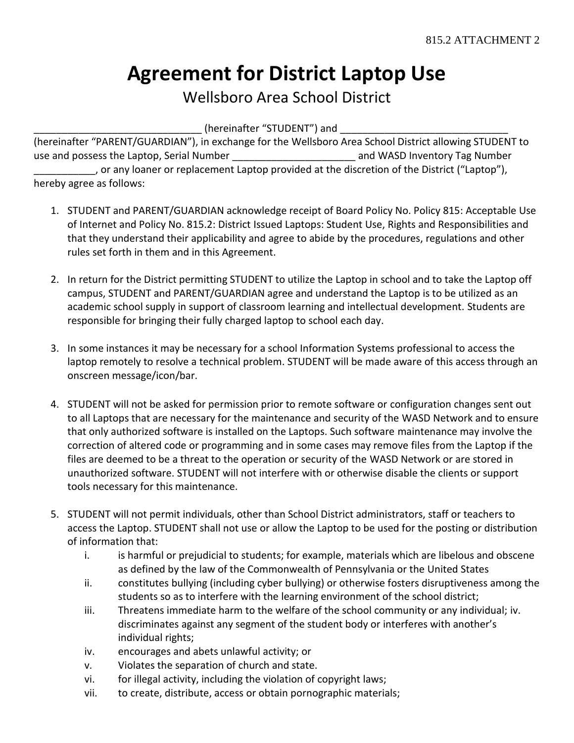# **Agreement for District Laptop Use**

### Wellsboro Area School District

 $\_$  (hereinafter "STUDENT") and  $\_$ 

(hereinafter "PARENT/GUARDIAN"), in exchange for the Wellsboro Area School District allowing STUDENT to use and possess the Laptop, Serial Number **the Contract of Constantine Constantine Constantine Constantine Const** \_\_\_\_\_\_\_\_\_\_\_, or any loaner or replacement Laptop provided at the discretion of the District ("Laptop"), hereby agree as follows:

- 1. STUDENT and PARENT/GUARDIAN acknowledge receipt of Board Policy No. Policy 815: Acceptable Use of Internet and Policy No. 815.2: District Issued Laptops: Student Use, Rights and Responsibilities and that they understand their applicability and agree to abide by the procedures, regulations and other rules set forth in them and in this Agreement.
- 2. In return for the District permitting STUDENT to utilize the Laptop in school and to take the Laptop off campus, STUDENT and PARENT/GUARDIAN agree and understand the Laptop is to be utilized as an academic school supply in support of classroom learning and intellectual development. Students are responsible for bringing their fully charged laptop to school each day.
- 3. In some instances it may be necessary for a school Information Systems professional to access the laptop remotely to resolve a technical problem. STUDENT will be made aware of this access through an onscreen message/icon/bar.
- 4. STUDENT will not be asked for permission prior to remote software or configuration changes sent out to all Laptops that are necessary for the maintenance and security of the WASD Network and to ensure that only authorized software is installed on the Laptops. Such software maintenance may involve the correction of altered code or programming and in some cases may remove files from the Laptop if the files are deemed to be a threat to the operation or security of the WASD Network or are stored in unauthorized software. STUDENT will not interfere with or otherwise disable the clients or support tools necessary for this maintenance.
- 5. STUDENT will not permit individuals, other than School District administrators, staff or teachers to access the Laptop. STUDENT shall not use or allow the Laptop to be used for the posting or distribution of information that:
	- i. is harmful or prejudicial to students; for example, materials which are libelous and obscene as defined by the law of the Commonwealth of Pennsylvania or the United States
	- ii. constitutes bullying (including cyber bullying) or otherwise fosters disruptiveness among the students so as to interfere with the learning environment of the school district;
	- iii. Threatens immediate harm to the welfare of the school community or any individual; iv. discriminates against any segment of the student body or interferes with another's individual rights;
	- iv. encourages and abets unlawful activity; or
	- v. Violates the separation of church and state.
	- vi. for illegal activity, including the violation of copyright laws;
	- vii. to create, distribute, access or obtain pornographic materials;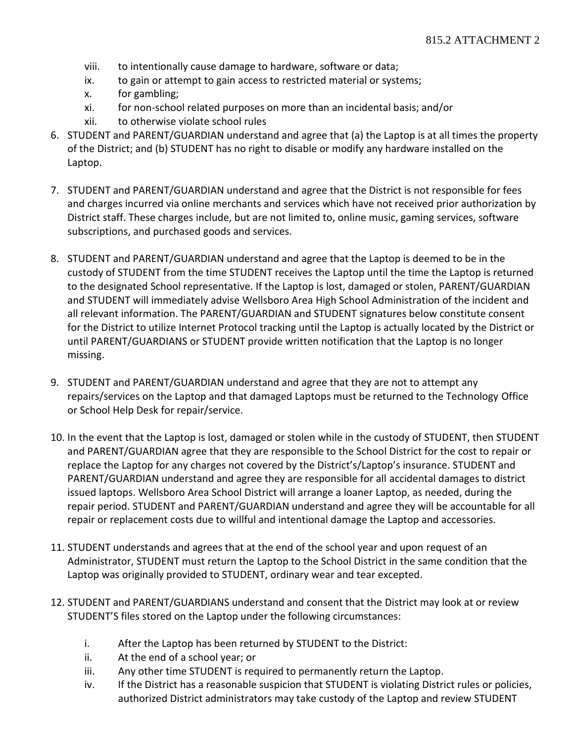- viii. to intentionally cause damage to hardware, software or data;
- ix. to gain or attempt to gain access to restricted material or systems;
- x. for gambling;
- xi. for non-school related purposes on more than an incidental basis; and/or
- xii. to otherwise violate school rules
- 6. STUDENT and PARENT/GUARDIAN understand and agree that (a) the Laptop is at all times the property of the District; and (b) STUDENT has no right to disable or modify any hardware installed on the Laptop.
- 7. STUDENT and PARENT/GUARDIAN understand and agree that the District is not responsible for fees and charges incurred via online merchants and services which have not received prior authorization by District staff. These charges include, but are not limited to, online music, gaming services, software subscriptions, and purchased goods and services.
- 8. STUDENT and PARENT/GUARDIAN understand and agree that the Laptop is deemed to be in the custody of STUDENT from the time STUDENT receives the Laptop until the time the Laptop is returned to the designated School representative. If the Laptop is lost, damaged or stolen, PARENT/GUARDIAN and STUDENT will immediately advise Wellsboro Area High School Administration of the incident and all relevant information. The PARENT/GUARDIAN and STUDENT signatures below constitute consent for the District to utilize Internet Protocol tracking until the Laptop is actually located by the District or until PARENT/GUARDIANS or STUDENT provide written notification that the Laptop is no longer missing.
- 9. STUDENT and PARENT/GUARDIAN understand and agree that they are not to attempt any repairs/services on the Laptop and that damaged Laptops must be returned to the Technology Office or School Help Desk for repair/service.
- 10. In the event that the Laptop is lost, damaged or stolen while in the custody of STUDENT, then STUDENT and PARENT/GUARDIAN agree that they are responsible to the School District for the cost to repair or replace the Laptop for any charges not covered by the District's/Laptop's insurance. STUDENT and PARENT/GUARDIAN understand and agree they are responsible for all accidental damages to district issued laptops. Wellsboro Area School District will arrange a loaner Laptop, as needed, during the repair period. STUDENT and PARENT/GUARDIAN understand and agree they will be accountable for all repair or replacement costs due to willful and intentional damage the Laptop and accessories.
- 11. STUDENT understands and agrees that at the end of the school year and upon request of an Administrator, STUDENT must return the Laptop to the School District in the same condition that the Laptop was originally provided to STUDENT, ordinary wear and tear excepted.
- 12. STUDENT and PARENT/GUARDIANS understand and consent that the District may look at or review STUDENT'S files stored on the Laptop under the following circumstances:
	- i. After the Laptop has been returned by STUDENT to the District:
	- ii. At the end of a school year; or
	- iii. Any other time STUDENT is required to permanently return the Laptop.
	- iv. If the District has a reasonable suspicion that STUDENT is violating District rules or policies, authorized District administrators may take custody of the Laptop and review STUDENT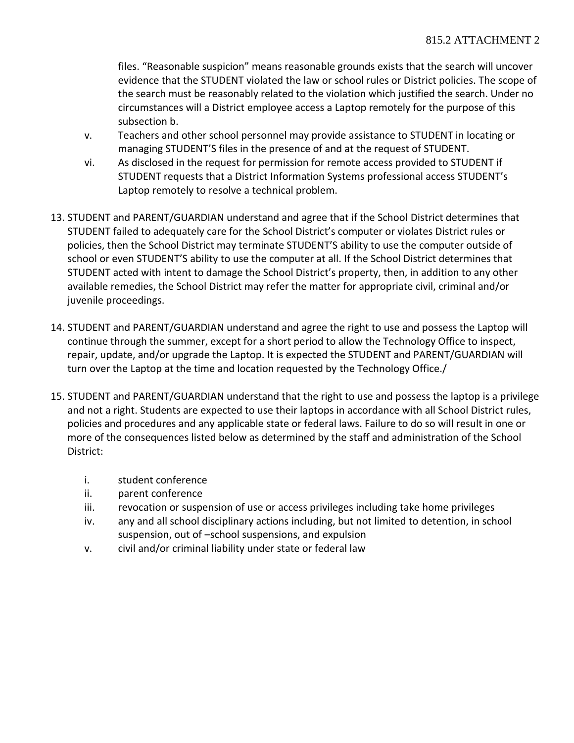files. "Reasonable suspicion" means reasonable grounds exists that the search will uncover evidence that the STUDENT violated the law or school rules or District policies. The scope of the search must be reasonably related to the violation which justified the search. Under no circumstances will a District employee access a Laptop remotely for the purpose of this subsection b.

- v. Teachers and other school personnel may provide assistance to STUDENT in locating or managing STUDENT'S files in the presence of and at the request of STUDENT.
- vi. As disclosed in the request for permission for remote access provided to STUDENT if STUDENT requests that a District Information Systems professional access STUDENT's Laptop remotely to resolve a technical problem.
- 13. STUDENT and PARENT/GUARDIAN understand and agree that if the School District determines that STUDENT failed to adequately care for the School District's computer or violates District rules or policies, then the School District may terminate STUDENT'S ability to use the computer outside of school or even STUDENT'S ability to use the computer at all. If the School District determines that STUDENT acted with intent to damage the School District's property, then, in addition to any other available remedies, the School District may refer the matter for appropriate civil, criminal and/or juvenile proceedings.
- 14. STUDENT and PARENT/GUARDIAN understand and agree the right to use and possess the Laptop will continue through the summer, except for a short period to allow the Technology Office to inspect, repair, update, and/or upgrade the Laptop. It is expected the STUDENT and PARENT/GUARDIAN will turn over the Laptop at the time and location requested by the Technology Office./
- 15. STUDENT and PARENT/GUARDIAN understand that the right to use and possess the laptop is a privilege and not a right. Students are expected to use their laptops in accordance with all School District rules, policies and procedures and any applicable state or federal laws. Failure to do so will result in one or more of the consequences listed below as determined by the staff and administration of the School District:
	- i. student conference
	- ii. parent conference
	- iii. revocation or suspension of use or access privileges including take home privileges
	- iv. any and all school disciplinary actions including, but not limited to detention, in school suspension, out of –school suspensions, and expulsion
	- v. civil and/or criminal liability under state or federal law